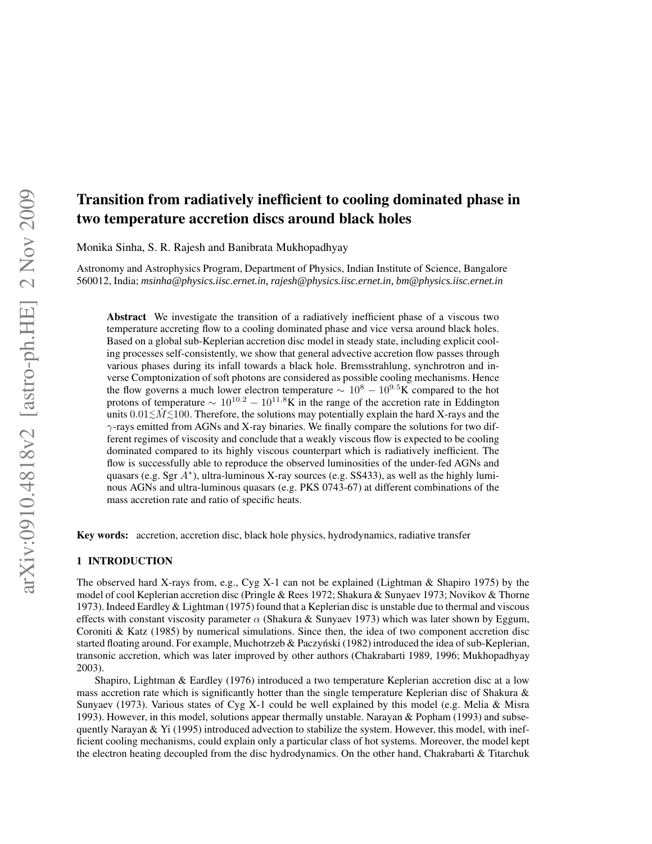# **Transition from radiatively inefficient to cooling dominated phase in two temperature accretion discs around black holes**

Monika Sinha, S. R. Rajesh and Banibrata Mukhopadhyay

Astronomy and Astrophysics Program, Department of Physics, Indian Institute of Science, Bangalore 560012, India; *msinha@physics.iisc.ernet.in, rajesh@physics.iisc.ernet.in, bm@physics.iisc.ernet.in*

**Abstract** We investigate the transition of a radiatively inefficient phase of a viscous two temperature accreting flow to a cooling dominated phase and vice versa around black holes. Based on a global sub-Keplerian accretion disc model in steady state, including explicit cooling processes self-consistently, we show that general advective accretion flow passes through various phases during its infall towards a black hole. Bremsstrahlung, synchrotron and inverse Comptonization of soft photons are considered as possible cooling mechanisms. Hence the flow governs a much lower electron temperature  $\sim 10^8 - 10^{9.5}$ K compared to the hot protons of temperature  $\sim 10^{10.2} - 10^{11.8}$ K in the range of the accretion rate in Eddington units  $0.01 \lesssim M \lesssim 100$ . Therefore, the solutions may potentially explain the hard X-rays and the  $\gamma$ -rays emitted from AGNs and X-ray binaries. We finally compare the solutions for two different regimes of viscosity and conclude that a weakly viscous flow is expected to be cooling dominated compared to its highly viscous counterpart which is radiatively inefficient. The flow is successfully able to reproduce the observed luminosities of the under-fed AGNs and quasars (e.g. Sgr  $A^*$ ), ultra-luminous X-ray sources (e.g. SS433), as well as the highly luminous AGNs and ultra-luminous quasars (e.g. PKS 0743-67) at different combinations of the mass accretion rate and ratio of specific heats.

**Key words:** accretion, accretion disc, black hole physics, hydrodynamics, radiative transfer

# **1 INTRODUCTION**

The observed hard X-rays from, e.g., Cyg X-1 can not be explained (Lightman & Shapiro 1975) by the model of cool Keplerian accretion disc (Pringle & Rees 1972; Shakura & Sunyaev 1973; Novikov & Thorne 1973). Indeed Eardley & Lightman (1975) found that a Keplerian disc is unstable due to thermal and viscous effects with constant viscosity parameter  $\alpha$  (Shakura & Sunyaev 1973) which was later shown by Eggum, Coroniti & Katz (1985) by numerical simulations. Since then, the idea of two component accretion disc started floating around. For example, Muchotrzeb & Paczyński (1982) introduced the idea of sub-Keplerian, transonic accretion, which was later improved by other authors (Chakrabarti 1989, 1996; Mukhopadhyay 2003).

Shapiro, Lightman & Eardley (1976) introduced a two temperature Keplerian accretion disc at a low mass accretion rate which is significantly hotter than the single temperature Keplerian disc of Shakura & Sunyaev (1973). Various states of Cyg X-1 could be well explained by this model (e.g. Melia & Misra 1993). However, in this model, solutions appear thermally unstable. Narayan & Popham (1993) and subsequently Narayan & Yi (1995) introduced advection to stabilize the system. However, this model, with inefficient cooling mechanisms, could explain only a particular class of hot systems. Moreover, the model kept the electron heating decoupled from the disc hydrodynamics. On the other hand, Chakrabarti & Titarchuk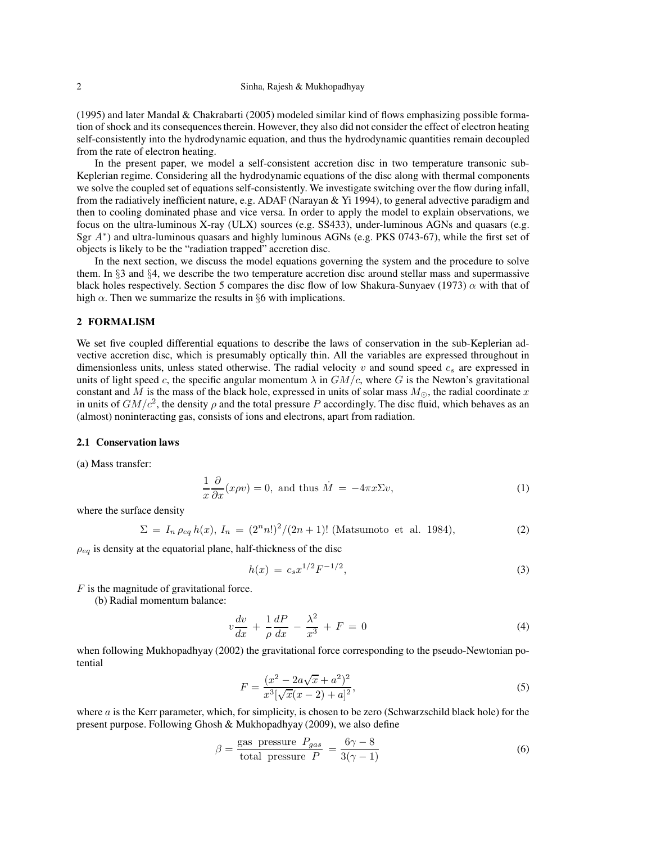(1995) and later Mandal & Chakrabarti (2005) modeled similar kind of flows emphasizing possible formation of shock and its consequences therein. However, they also did not consider the effect of electron heating self-consistently into the hydrodynamic equation, and thus the hydrodynamic quantities remain decoupled from the rate of electron heating.

In the present paper, we model a self-consistent accretion disc in two temperature transonic sub-Keplerian regime. Considering all the hydrodynamic equations of the disc along with thermal components we solve the coupled set of equations self-consistently. We investigate switching over the flow during infall, from the radiatively inefficient nature, e.g. ADAF (Narayan & Yi 1994), to general advective paradigm and then to cooling dominated phase and vice versa. In order to apply the model to explain observations, we focus on the ultra-luminous X-ray (ULX) sources (e.g. SS433), under-luminous AGNs and quasars (e.g. Sgr  $A^*$ ) and ultra-luminous quasars and highly luminous AGNs (e.g. PKS 0743-67), while the first set of objects is likely to be the "radiation trapped" accretion disc.

In the next section, we discuss the model equations governing the system and the procedure to solve them. In §3 and §4, we describe the two temperature accretion disc around stellar mass and supermassive black holes respectively. Section 5 compares the disc flow of low Shakura-Sunyaev (1973)  $\alpha$  with that of high  $\alpha$ . Then we summarize the results in §6 with implications.

# **2 FORMALISM**

We set five coupled differential equations to describe the laws of conservation in the sub-Keplerian advective accretion disc, which is presumably optically thin. All the variables are expressed throughout in dimensionless units, unless stated otherwise. The radial velocity  $v$  and sound speed  $c_s$  are expressed in units of light speed c, the specific angular momentum  $\lambda$  in  $GM/c$ , where G is the Newton's gravitational constant and M is the mass of the black hole, expressed in units of solar mass  $M_{\odot}$ , the radial coordinate x in units of  $GM/c^2$ , the density  $\rho$  and the total pressure P accordingly. The disc fluid, which behaves as an (almost) noninteracting gas, consists of ions and electrons, apart from radiation.

#### **2.1 Conservation laws**

(a) Mass transfer:

$$
\frac{1}{x}\frac{\partial}{\partial x}(x\rho v) = 0, \text{ and thus } \dot{M} = -4\pi x \Sigma v,
$$
\n(1)

where the surface density

$$
\Sigma = I_n \rho_{eq} h(x), I_n = (2^n n!)^2 / (2n+1)! \text{ (Matsumoto et al. 1984)}, \tag{2}
$$

 $\rho_{eq}$  is density at the equatorial plane, half-thickness of the disc

$$
h(x) = c_s x^{1/2} F^{-1/2}, \tag{3}
$$

 $F$  is the magnitude of gravitational force.

(b) Radial momentum balance:

$$
v\frac{dv}{dx} + \frac{1}{\rho}\frac{dP}{dx} - \frac{\lambda^2}{x^3} + F = 0\tag{4}
$$

when following Mukhopadhyay (2002) the gravitational force corresponding to the pseudo-Newtonian potential

$$
F = \frac{(x^2 - 2a\sqrt{x} + a^2)^2}{x^3[\sqrt{x}(x - 2) + a]^2},
$$
\n(5)

where a is the Kerr parameter, which, for simplicity, is chosen to be zero (Schwarzschild black hole) for the present purpose. Following Ghosh & Mukhopadhyay (2009), we also define

$$
\beta = \frac{\text{gas pressure } P_{gas}}{\text{total pressure } P} = \frac{6\gamma - 8}{3(\gamma - 1)}\tag{6}
$$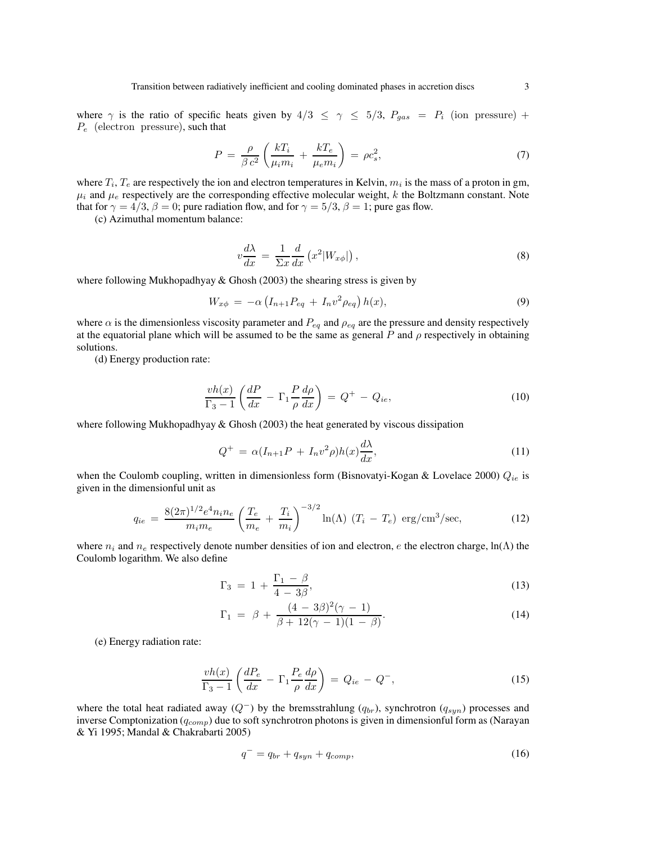where  $\gamma$  is the ratio of specific heats given by  $4/3 \leq \gamma \leq 5/3$ ,  $P_{gas} = P_i$  (ion pressure) +  $P_e$  (electron pressure), such that

$$
P = \frac{\rho}{\beta c^2} \left( \frac{kT_i}{\mu_i m_i} + \frac{kT_e}{\mu_e m_i} \right) = \rho c_s^2,
$$
\n<sup>(7)</sup>

where  $T_i$ ,  $T_e$  are respectively the ion and electron temperatures in Kelvin,  $m_i$  is the mass of a proton in gm,  $\mu_i$  and  $\mu_e$  respectively are the corresponding effective molecular weight, k the Boltzmann constant. Note that for  $\gamma = 4/3$ ,  $\beta = 0$ ; pure radiation flow, and for  $\gamma = 5/3$ ,  $\beta = 1$ ; pure gas flow.

(c) Azimuthal momentum balance:

$$
v\frac{d\lambda}{dx} = \frac{1}{\Sigma x}\frac{d}{dx}\left(x^2|W_{x\phi}|\right),\tag{8}
$$

where following Mukhopadhyay  $& Ghosh(2003)$  the shearing stress is given by

$$
W_{x\phi} = -\alpha \left( I_{n+1} P_{eq} + I_n v^2 \rho_{eq} \right) h(x), \tag{9}
$$

where  $\alpha$  is the dimensionless viscosity parameter and  $P_{eq}$  and  $\rho_{eq}$  are the pressure and density respectively at the equatorial plane which will be assumed to be the same as general P and  $\rho$  respectively in obtaining solutions.

(d) Energy production rate:

$$
\frac{vh(x)}{\Gamma_3 - 1} \left( \frac{dP}{dx} - \Gamma_1 \frac{P}{\rho} \frac{d\rho}{dx} \right) = Q^+ - Q_{ie},\tag{10}
$$

where following Mukhopadhyay  $\&$  Ghosh (2003) the heat generated by viscous dissipation

$$
Q^{+} = \alpha (I_{n+1}P + I_n v^2 \rho) h(x) \frac{d\lambda}{dx}, \qquad (11)
$$

when the Coulomb coupling, written in dimensionless form (Bisnovatyi-Kogan & Lovelace 2000)  $Q_{ie}$  is given in the dimensionful unit as

$$
q_{ie} = \frac{8(2\pi)^{1/2}e^4 n_i n_e}{m_i m_e} \left(\frac{T_e}{m_e} + \frac{T_i}{m_i}\right)^{-3/2} \ln(\Lambda) (T_i - T_e) \text{ erg/cm}^3/\text{sec},\tag{12}
$$

where  $n_i$  and  $n_e$  respectively denote number densities of ion and electron, e the electron charge, ln( $\Lambda$ ) the Coulomb logarithm. We also define

$$
\Gamma_3 = 1 + \frac{\Gamma_1 - \beta}{4 - 3\beta},\tag{13}
$$

$$
\Gamma_1 = \beta + \frac{(4 - 3\beta)^2(\gamma - 1)}{\beta + 12(\gamma - 1)(1 - \beta)}.
$$
\n(14)

(e) Energy radiation rate:

$$
\frac{vh(x)}{\Gamma_3 - 1} \left( \frac{dP_e}{dx} - \Gamma_1 \frac{P_e}{\rho} \frac{d\rho}{dx} \right) = Q_{ie} - Q^-, \tag{15}
$$

where the total heat radiated away  $(Q^-)$  by the bremsstrahlung  $(q_{br})$ , synchrotron  $(q_{syn})$  processes and inverse Comptonization ( $q_{comp}$ ) due to soft synchrotron photons is given in dimensionful form as (Narayan & Yi 1995; Mandal & Chakrabarti 2005)

$$
q^- = q_{br} + q_{syn} + q_{comp}, \qquad (16)
$$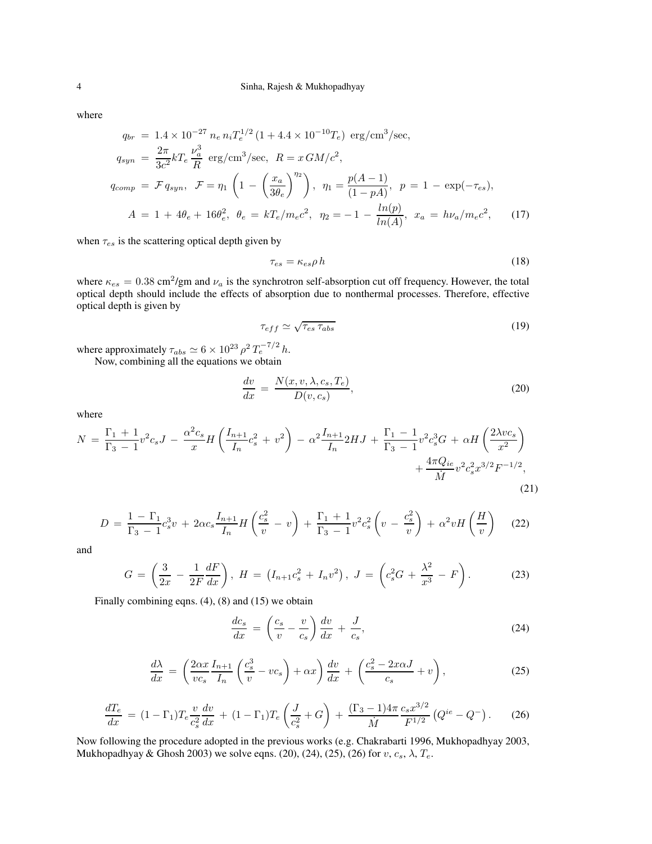where

$$
q_{br} = 1.4 \times 10^{-27} n_e n_i T_e^{1/2} (1 + 4.4 \times 10^{-10} T_e) \text{ erg/cm}^3/\text{sec},
$$
  
\n
$$
q_{syn} = \frac{2\pi}{3c^2} k T_e \frac{\nu_a^3}{R} \text{ erg/cm}^3/\text{sec}, \ R = x \, GM/c^2,
$$
  
\n
$$
q_{comp} = \mathcal{F} q_{syn}, \ \mathcal{F} = \eta_1 \left( 1 - \left( \frac{x_a}{3\theta_e} \right)^{\eta_2} \right), \ \eta_1 = \frac{p(A-1)}{(1 - pA)}, \ p = 1 - \exp(-\tau_{es}),
$$
  
\n
$$
A = 1 + 4\theta_e + 16\theta_e^2, \ \theta_e = kT_e/m_ec^2, \ \eta_2 = -1 - \frac{\ln(p)}{\ln(A)}, \ x_a = h\nu_a/m_ec^2, \tag{17}
$$

when  $\tau_{es}$  is the scattering optical depth given by

$$
\tau_{es} = \kappa_{es} \rho \, h \tag{18}
$$

where  $\kappa_{es} = 0.38 \text{ cm}^2/\text{gm}$  and  $\nu_a$  is the synchrotron self-absorption cut off frequency. However, the total optical depth should include the effects of absorption due to nonthermal processes. Therefore, effective optical depth is given by

$$
\tau_{eff} \simeq \sqrt{\tau_{es} \tau_{abs}} \tag{19}
$$

where approximately  $\tau_{abs} \simeq 6 \times 10^{23} \rho^2 T_e^{-7/2} h$ .

Now, combining all the equations we obtain

$$
\frac{dv}{dx} = \frac{N(x, v, \lambda, c_s, T_e)}{D(v, c_s)},\tag{20}
$$

where

$$
N = \frac{\Gamma_1 + 1}{\Gamma_3 - 1} v^2 c_s J - \frac{\alpha^2 c_s}{x} H \left( \frac{I_{n+1}}{I_n} c_s^2 + v^2 \right) - \alpha^2 \frac{I_{n+1}}{I_n} 2 H J + \frac{\Gamma_1 - 1}{\Gamma_3 - 1} v^2 c_s^3 G + \alpha H \left( \frac{2 \lambda v c_s}{x^2} \right) + \frac{4 \pi Q_{ie}}{\dot{M}} v^2 c_s^2 x^{3/2} F^{-1/2},
$$
\n(21)

$$
D = \frac{1 - \Gamma_1}{\Gamma_3 - 1} c_s^3 v + 2\alpha c_s \frac{I_{n+1}}{I_n} H\left(\frac{c_s^2}{v} - v\right) + \frac{\Gamma_1 + 1}{\Gamma_3 - 1} v^2 c_s^2 \left(v - \frac{c_s^2}{v}\right) + \alpha^2 v H\left(\frac{H}{v}\right) \tag{22}
$$

and

$$
G = \left(\frac{3}{2x} - \frac{1}{2F}\frac{dF}{dx}\right), \ H = \left(I_{n+1}c_s^2 + I_n v^2\right), \ J = \left(c_s^2 G + \frac{\lambda^2}{x^3} - F\right). \tag{23}
$$

Finally combining eqns. (4), (8) and (15) we obtain

$$
\frac{dc_s}{dx} = \left(\frac{c_s}{v} - \frac{v}{c_s}\right)\frac{dv}{dx} + \frac{J}{c_s},\tag{24}
$$

$$
\frac{d\lambda}{dx} = \left(\frac{2\alpha x}{vc_s} \frac{I_{n+1}}{I_n} \left(\frac{c_s^3}{v} - vc_s\right) + \alpha x\right) \frac{dv}{dx} + \left(\frac{c_s^2 - 2x\alpha J}{c_s} + v\right),\tag{25}
$$

$$
\frac{dT_e}{dx} = (1 - \Gamma_1) T_e \frac{v}{c_s^2} \frac{dv}{dx} + (1 - \Gamma_1) T_e \left( \frac{J}{c_s^2} + G \right) + \frac{(\Gamma_3 - 1) 4\pi}{\dot{M}} \frac{c_s x^{3/2}}{F^{1/2}} \left( Q^{ie} - Q^- \right). \tag{26}
$$

Now following the procedure adopted in the previous works (e.g. Chakrabarti 1996, Mukhopadhyay 2003, Mukhopadhyay & Ghosh 2003) we solve eqns. (20), (24), (25), (26) for  $v, c_s, \lambda, T_e$ .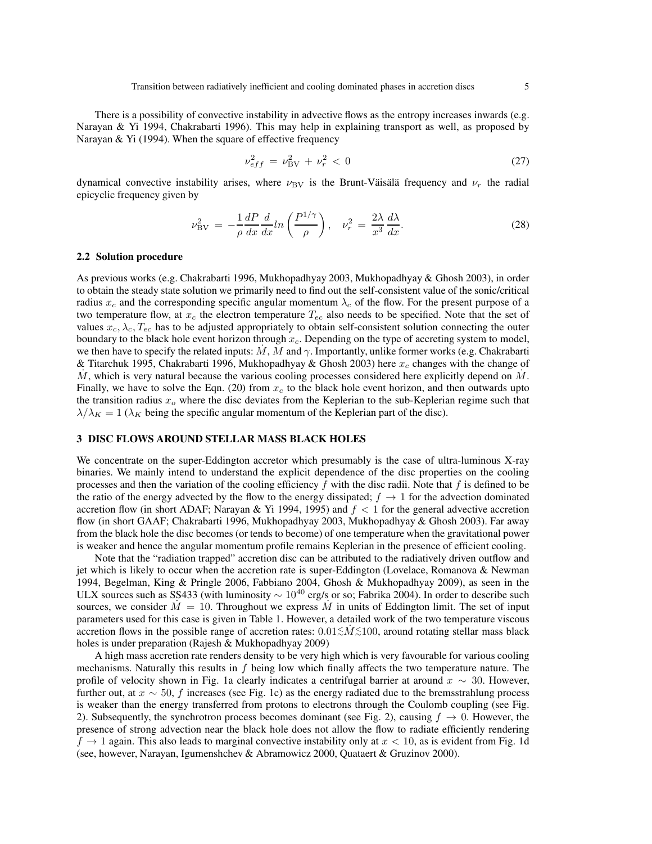There is a possibility of convective instability in advective flows as the entropy increases inwards (e.g. Narayan & Yi 1994, Chakrabarti 1996). This may help in explaining transport as well, as proposed by Narayan & Yi (1994). When the square of effective frequency

$$
\nu_{eff}^2 = \nu_{\rm BV}^2 + \nu_r^2 < 0 \tag{27}
$$

dynamical convective instability arises, where  $\nu_{\text{BV}}$  is the Brunt-Väisälä frequency and  $\nu_r$  the radial epicyclic frequency given by

$$
\nu_{\text{BV}}^2 = -\frac{1}{\rho} \frac{dP}{dx} \frac{d}{dx} ln\left(\frac{P^{1/\gamma}}{\rho}\right), \quad \nu_r^2 = \frac{2\lambda}{x^3} \frac{d\lambda}{dx}.
$$
 (28)

#### **2.2 Solution procedure**

As previous works (e.g. Chakrabarti 1996, Mukhopadhyay 2003, Mukhopadhyay & Ghosh 2003), in order to obtain the steady state solution we primarily need to find out the self-consistent value of the sonic/critical radius  $x_c$  and the corresponding specific angular momentum  $\lambda_c$  of the flow. For the present purpose of a two temperature flow, at  $x_c$  the electron temperature  $T_{ec}$  also needs to be specified. Note that the set of values  $x_c, \lambda_c, T_{ec}$  has to be adjusted appropriately to obtain self-consistent solution connecting the outer boundary to the black hole event horizon through  $x_c$ . Depending on the type of accreting system to model, we then have to specify the related inputs:  $\dot{M}$ ,  $\dot{M}$  and  $\gamma$ . Importantly, unlike former works (e.g. Chakrabarti & Titarchuk 1995, Chakrabarti 1996, Mukhopadhyay & Ghosh 2003) here  $x_c$  changes with the change of  $\dot{M}$ , which is very natural because the various cooling processes considered here explicitly depend on  $\dot{M}$ . Finally, we have to solve the Eqn. (20) from  $x_c$  to the black hole event horizon, and then outwards upto the transition radius  $x<sub>o</sub>$  where the disc deviates from the Keplerian to the sub-Keplerian regime such that  $\lambda/\lambda_K = 1$  ( $\lambda_K$  being the specific angular momentum of the Keplerian part of the disc).

## **3 DISC FLOWS AROUND STELLAR MASS BLACK HOLES**

We concentrate on the super-Eddington accretor which presumably is the case of ultra-luminous X-ray binaries. We mainly intend to understand the explicit dependence of the disc properties on the cooling processes and then the variation of the cooling efficiency  $f$  with the disc radii. Note that  $f$  is defined to be the ratio of the energy advected by the flow to the energy dissipated;  $f \rightarrow 1$  for the advection dominated accretion flow (in short ADAF; Narayan & Yi 1994, 1995) and  $f < 1$  for the general advective accretion flow (in short GAAF; Chakrabarti 1996, Mukhopadhyay 2003, Mukhopadhyay & Ghosh 2003). Far away from the black hole the disc becomes (or tends to become) of one temperature when the gravitational power is weaker and hence the angular momentum profile remains Keplerian in the presence of efficient cooling.

Note that the "radiation trapped" accretion disc can be attributed to the radiatively driven outflow and jet which is likely to occur when the accretion rate is super-Eddington (Lovelace, Romanova & Newman 1994, Begelman, King & Pringle 2006, Fabbiano 2004, Ghosh & Mukhopadhyay 2009), as seen in the ULX sources such as SS433 (with luminosity  $\sim 10^{40}$  erg/s or so; Fabrika 2004). In order to describe such sources, we consider  $\dot{M} = 10$ . Throughout we express  $\dot{M}$  in units of Eddington limit. The set of input parameters used for this case is given in Table 1. However, a detailed work of the two temperature viscous accretion flows in the possible range of accretion rates:  $0.01 \lesssim \dot{M} \lesssim 100$ , around rotating stellar mass black holes is under preparation (Rajesh & Mukhopadhyay 2009)

A high mass accretion rate renders density to be very high which is very favourable for various cooling mechanisms. Naturally this results in  $f$  being low which finally affects the two temperature nature. The profile of velocity shown in Fig. 1a clearly indicates a centrifugal barrier at around  $x \sim 30$ . However, further out, at  $x \sim 50$ , f increases (see Fig. 1c) as the energy radiated due to the bremsstrahlung process is weaker than the energy transferred from protons to electrons through the Coulomb coupling (see Fig. 2). Subsequently, the synchrotron process becomes dominant (see Fig. 2), causing  $f \to 0$ . However, the presence of strong advection near the black hole does not allow the flow to radiate efficiently rendering  $f \rightarrow 1$  again. This also leads to marginal convective instability only at  $x < 10$ , as is evident from Fig. 1d (see, however, Narayan, Igumenshchev & Abramowicz 2000, Quataert & Gruzinov 2000).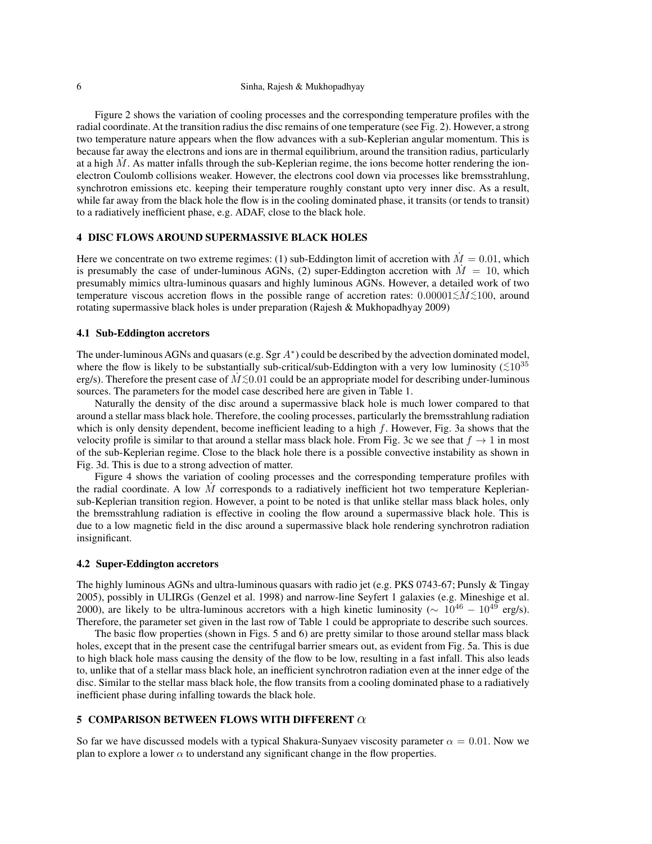Figure 2 shows the variation of cooling processes and the corresponding temperature profiles with the radial coordinate. At the transition radius the disc remains of one temperature (see Fig. 2). However, a strong two temperature nature appears when the flow advances with a sub-Keplerian angular momentum. This is because far away the electrons and ions are in thermal equilibrium, around the transition radius, particularly at a high  $\dot{M}$ . As matter infalls through the sub-Keplerian regime, the ions become hotter rendering the ionelectron Coulomb collisions weaker. However, the electrons cool down via processes like bremsstrahlung, synchrotron emissions etc. keeping their temperature roughly constant upto very inner disc. As a result, while far away from the black hole the flow is in the cooling dominated phase, it transits (or tends to transit) to a radiatively inefficient phase, e.g. ADAF, close to the black hole.

# **4 DISC FLOWS AROUND SUPERMASSIVE BLACK HOLES**

Here we concentrate on two extreme regimes: (1) sub-Eddington limit of accretion with  $\dot{M} = 0.01$ , which is presumably the case of under-luminous AGNs, (2) super-Eddington accretion with  $\dot{M} = 10$ , which presumably mimics ultra-luminous quasars and highly luminous AGNs. However, a detailed work of two temperature viscous accretion flows in the possible range of accretion rates:  $0.00001 \lesssim M \lesssim 100$ , around rotating supermassive black holes is under preparation (Rajesh & Mukhopadhyay 2009)

## **4.1 Sub-Eddington accretors**

The under-luminous AGNs and quasars (e.g. Sgr  $A^*$ ) could be described by the advection dominated model, where the flow is likely to be substantially sub-critical/sub-Eddington with a very low luminosity ( $\lesssim 10^{35}$ erg/s). Therefore the present case of  $\dot{M} \lesssim 0.01$  could be an appropriate model for describing under-luminous sources. The parameters for the model case described here are given in Table 1.

Naturally the density of the disc around a supermassive black hole is much lower compared to that around a stellar mass black hole. Therefore, the cooling processes, particularly the bremsstrahlung radiation which is only density dependent, become inefficient leading to a high  $f$ . However, Fig. 3a shows that the velocity profile is similar to that around a stellar mass black hole. From Fig. 3c we see that  $f \to 1$  in most of the sub-Keplerian regime. Close to the black hole there is a possible convective instability as shown in Fig. 3d. This is due to a strong advection of matter.

Figure 4 shows the variation of cooling processes and the corresponding temperature profiles with the radial coordinate. A low  $\dot{M}$  corresponds to a radiatively inefficient hot two temperature Kepleriansub-Keplerian transition region. However, a point to be noted is that unlike stellar mass black holes, only the bremsstrahlung radiation is effective in cooling the flow around a supermassive black hole. This is due to a low magnetic field in the disc around a supermassive black hole rendering synchrotron radiation insignificant.

#### **4.2 Super-Eddington accretors**

The highly luminous AGNs and ultra-luminous quasars with radio jet (e.g. PKS 0743-67; Punsly & Tingay 2005), possibly in ULIRGs (Genzel et al. 1998) and narrow-line Seyfert 1 galaxies (e.g. Mineshige et al. 2000), are likely to be ultra-luminous accretors with a high kinetic luminosity ( $\sim 10^{46} - 10^{49}$  erg/s). Therefore, the parameter set given in the last row of Table 1 could be appropriate to describe such sources.

The basic flow properties (shown in Figs. 5 and 6) are pretty similar to those around stellar mass black holes, except that in the present case the centrifugal barrier smears out, as evident from Fig. 5a. This is due to high black hole mass causing the density of the flow to be low, resulting in a fast infall. This also leads to, unlike that of a stellar mass black hole, an inefficient synchrotron radiation even at the inner edge of the disc. Similar to the stellar mass black hole, the flow transits from a cooling dominated phase to a radiatively inefficient phase during infalling towards the black hole.

# **5 COMPARISON BETWEEN FLOWS WITH DIFFERENT**  $\alpha$

So far we have discussed models with a typical Shakura-Sunyaev viscosity parameter  $\alpha = 0.01$ . Now we plan to explore a lower  $\alpha$  to understand any significant change in the flow properties.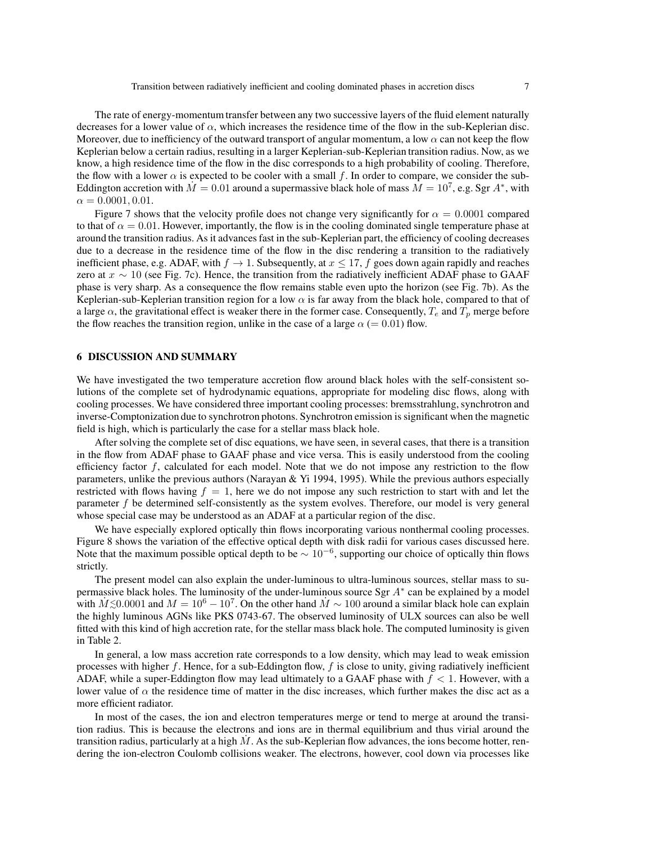Transition between radiatively inefficient and cooling dominated phases in accretion discs 7

The rate of energy-momentum transfer between any two successive layers of the fluid element naturally decreases for a lower value of  $\alpha$ , which increases the residence time of the flow in the sub-Keplerian disc. Moreover, due to inefficiency of the outward transport of angular momentum, a low  $\alpha$  can not keep the flow Keplerian below a certain radius, resulting in a larger Keplerian-sub-Keplerian transition radius. Now, as we know, a high residence time of the flow in the disc corresponds to a high probability of cooling. Therefore, the flow with a lower  $\alpha$  is expected to be cooler with a small f. In order to compare, we consider the sub-Eddington accretion with  $\dot{M} = 0.01$  around a supermassive black hole of mass  $\dot{M} = 10^7$ , e.g. Sgr  $A^*$ , with

 $\alpha = 0.0001, 0.01.$ Figure 7 shows that the velocity profile does not change very significantly for  $\alpha = 0.0001$  compared to that of  $\alpha = 0.01$ . However, importantly, the flow is in the cooling dominated single temperature phase at around the transition radius. As it advances fast in the sub-Keplerian part, the efficiency of cooling decreases due to a decrease in the residence time of the flow in the disc rendering a transition to the radiatively inefficient phase, e.g. ADAF, with  $f \to 1$ . Subsequently, at  $x \le 17$ , f goes down again rapidly and reaches zero at  $x \sim 10$  (see Fig. 7c). Hence, the transition from the radiatively inefficient ADAF phase to GAAF phase is very sharp. As a consequence the flow remains stable even upto the horizon (see Fig. 7b). As the Keplerian-sub-Keplerian transition region for a low  $\alpha$  is far away from the black hole, compared to that of a large  $\alpha$ , the gravitational effect is weaker there in the former case. Consequently,  $T_e$  and  $T_p$  merge before the flow reaches the transition region, unlike in the case of a large  $\alpha$  (= 0.01) flow.

#### **6 DISCUSSION AND SUMMARY**

We have investigated the two temperature accretion flow around black holes with the self-consistent solutions of the complete set of hydrodynamic equations, appropriate for modeling disc flows, along with cooling processes. We have considered three important cooling processes: bremsstrahlung, synchrotron and inverse-Comptonization due to synchrotron photons. Synchrotron emission is significant when the magnetic field is high, which is particularly the case for a stellar mass black hole.

After solving the complete set of disc equations, we have seen, in several cases, that there is a transition in the flow from ADAF phase to GAAF phase and vice versa. This is easily understood from the cooling efficiency factor  $f$ , calculated for each model. Note that we do not impose any restriction to the flow parameters, unlike the previous authors (Narayan & Yi 1994, 1995). While the previous authors especially restricted with flows having  $f = 1$ , here we do not impose any such restriction to start with and let the parameter f be determined self-consistently as the system evolves. Therefore, our model is very general whose special case may be understood as an ADAF at a particular region of the disc.

We have especially explored optically thin flows incorporating various nonthermal cooling processes. Figure 8 shows the variation of the effective optical depth with disk radii for various cases discussed here. Note that the maximum possible optical depth to be  $\sim 10^{-6}$ , supporting our choice of optically thin flows strictly.

The present model can also explain the under-luminous to ultra-luminous sources, stellar mass to supermassive black holes. The luminosity of the under-luminous source Sgr A<sup>\*</sup> can be explained by a model with  $\dot{M} \lesssim 0.0001$  and  $M = 10^6 - 10^7$ . On the other hand  $\dot{M} \sim 100$  around a similar black hole can explain the highly luminous AGNs like PKS 0743-67. The observed luminosity of ULX sources can also be well fitted with this kind of high accretion rate, for the stellar mass black hole. The computed luminosity is given in Table 2.

In general, a low mass accretion rate corresponds to a low density, which may lead to weak emission processes with higher  $f$ . Hence, for a sub-Eddington flow,  $f$  is close to unity, giving radiatively inefficient ADAF, while a super-Eddington flow may lead ultimately to a GAAF phase with  $f < 1$ . However, with a lower value of  $\alpha$  the residence time of matter in the disc increases, which further makes the disc act as a more efficient radiator.

In most of the cases, the ion and electron temperatures merge or tend to merge at around the transition radius. This is because the electrons and ions are in thermal equilibrium and thus virial around the transition radius, particularly at a high  $\dot{M}$ . As the sub-Keplerian flow advances, the ions become hotter, rendering the ion-electron Coulomb collisions weaker. The electrons, however, cool down via processes like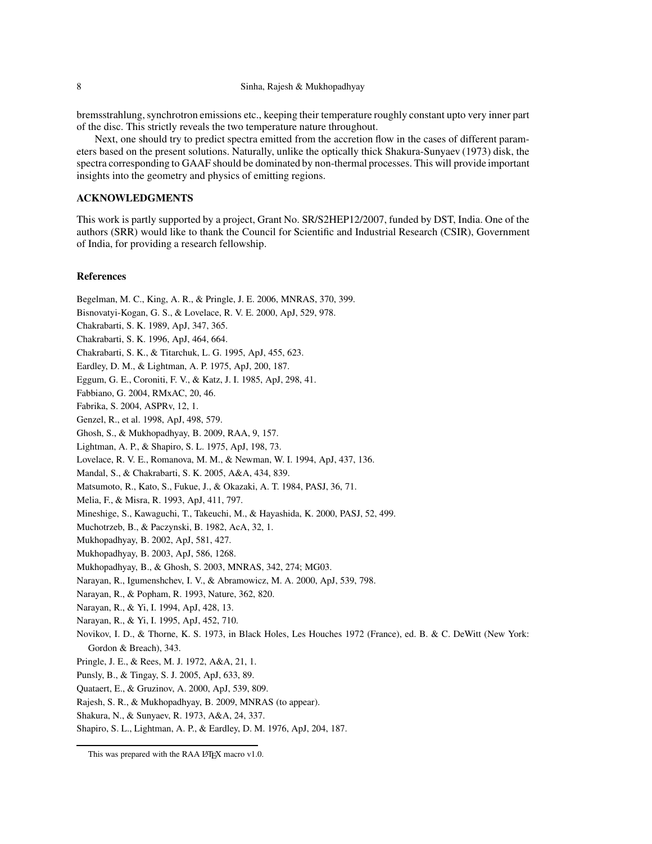bremsstrahlung, synchrotron emissions etc., keeping their temperature roughly constant upto very inner part of the disc. This strictly reveals the two temperature nature throughout.

Next, one should try to predict spectra emitted from the accretion flow in the cases of different parameters based on the present solutions. Naturally, unlike the optically thick Shakura-Sunyaev (1973) disk, the spectra corresponding to GAAF should be dominated by non-thermal processes. This will provide important insights into the geometry and physics of emitting regions.

## **ACKNOWLEDGMENTS**

This work is partly supported by a project, Grant No. SR/S2HEP12/2007, funded by DST, India. One of the authors (SRR) would like to thank the Council for Scientific and Industrial Research (CSIR), Government of India, for providing a research fellowship.

## **References**

Begelman, M. C., King, A. R., & Pringle, J. E. 2006, MNRAS, 370, 399. Bisnovatyi-Kogan, G. S., & Lovelace, R. V. E. 2000, ApJ, 529, 978. Chakrabarti, S. K. 1989, ApJ, 347, 365. Chakrabarti, S. K. 1996, ApJ, 464, 664. Chakrabarti, S. K., & Titarchuk, L. G. 1995, ApJ, 455, 623. Eardley, D. M., & Lightman, A. P. 1975, ApJ, 200, 187. Eggum, G. E., Coroniti, F. V., & Katz, J. I. 1985, ApJ, 298, 41. Fabbiano, G. 2004, RMxAC, 20, 46. Fabrika, S. 2004, ASPRv, 12, 1. Genzel, R., et al. 1998, ApJ, 498, 579. Ghosh, S., & Mukhopadhyay, B. 2009, RAA, 9, 157. Lightman, A. P., & Shapiro, S. L. 1975, ApJ, 198, 73. Lovelace, R. V. E., Romanova, M. M., & Newman, W. I. 1994, ApJ, 437, 136. Mandal, S., & Chakrabarti, S. K. 2005, A&A, 434, 839. Matsumoto, R., Kato, S., Fukue, J., & Okazaki, A. T. 1984, PASJ, 36, 71. Melia, F., & Misra, R. 1993, ApJ, 411, 797. Mineshige, S., Kawaguchi, T., Takeuchi, M., & Hayashida, K. 2000, PASJ, 52, 499. Muchotrzeb, B., & Paczynski, B. 1982, AcA, 32, 1. Mukhopadhyay, B. 2002, ApJ, 581, 427. Mukhopadhyay, B. 2003, ApJ, 586, 1268. Mukhopadhyay, B., & Ghosh, S. 2003, MNRAS, 342, 274; MG03. Narayan, R., Igumenshchev, I. V., & Abramowicz, M. A. 2000, ApJ, 539, 798. Narayan, R., & Popham, R. 1993, Nature, 362, 820. Narayan, R., & Yi, I. 1994, ApJ, 428, 13. Narayan, R., & Yi, I. 1995, ApJ, 452, 710. Novikov, I. D., & Thorne, K. S. 1973, in Black Holes, Les Houches 1972 (France), ed. B. & C. DeWitt (New York: Gordon & Breach), 343. Pringle, J. E., & Rees, M. J. 1972, A&A, 21, 1. Punsly, B., & Tingay, S. J. 2005, ApJ, 633, 89. Quataert, E., & Gruzinov, A. 2000, ApJ, 539, 809. Rajesh, S. R., & Mukhopadhyay, B. 2009, MNRAS (to appear). Shakura, N., & Sunyaev, R. 1973, A&A, 24, 337.

Shapiro, S. L., Lightman, A. P., & Eardley, D. M. 1976, ApJ, 204, 187.

This was prepared with the RAA LATEX macro v1.0.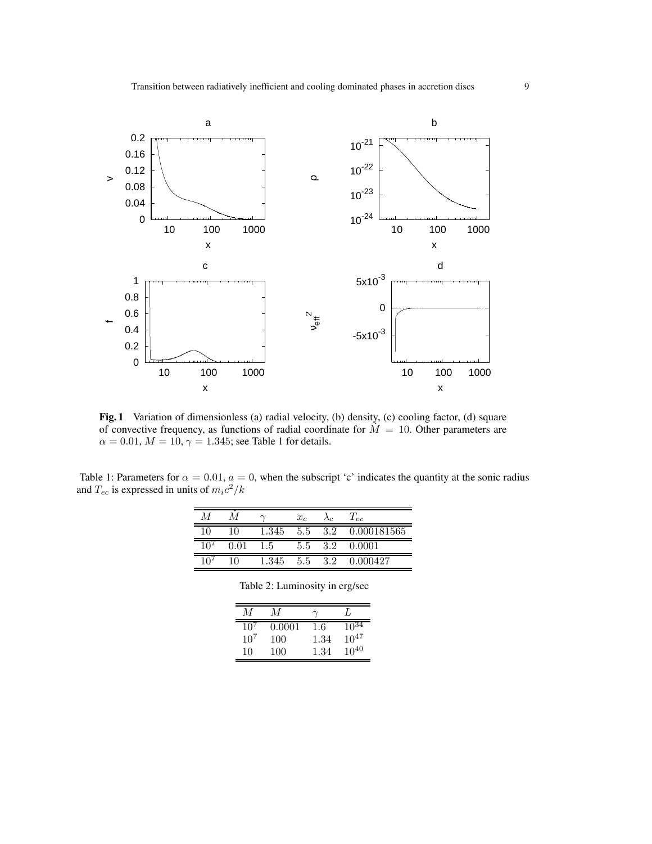

Fig. 1 Variation of dimensionless (a) radial velocity, (b) density, (c) cooling factor, (d) square of convective frequency, as functions of radial coordinate for  $\dot{M} = 10$ . Other parameters are  $\alpha = 0.01, M = 10, \gamma = 1.345$ ; see Table 1 for details.

Table 1: Parameters for  $\alpha = 0.01$ ,  $a = 0$ , when the subscript 'c' indicates the quantity at the sonic radius and  $T_{ec}$  is expressed in units of  $m_i c^2 / k$ 

| M  |      |       | $x_c$ |     | $T_{ee}$    |
|----|------|-------|-------|-----|-------------|
| 10 | 10   | 1.345 | 5.5   | 3.2 | 0.000181565 |
|    | 0.01 | 1.5   | 5.5   | 3.2 | 0.0001      |
|    | 10   | 1.345 | 5.5   | 3.2 | 0.000427    |

Table 2: Luminosity in erg/sec

| М        |        |         | L         |
|----------|--------|---------|-----------|
|          | 0.0001 | $1.6\,$ | $10^{34}$ |
| $10^{7}$ | 100    | 1.34    | $10^{47}$ |
| 10       | 100    | 1.34    | $10^{40}$ |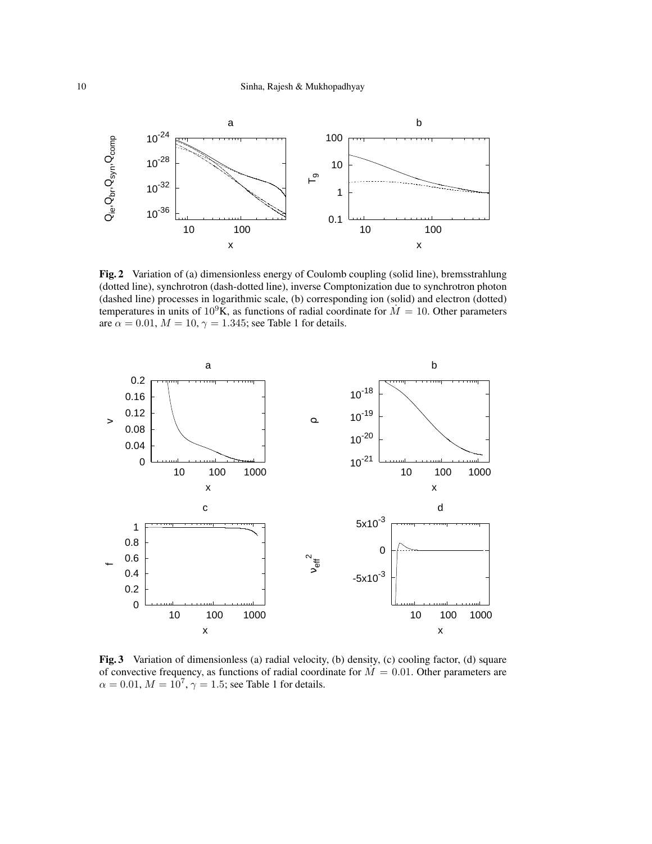

**Fig. 2** Variation of (a) dimensionless energy of Coulomb coupling (solid line), bremsstrahlung (dotted line), synchrotron (dash-dotted line), inverse Comptonization due to synchrotron photon (dashed line) processes in logarithmic scale, (b) corresponding ion (solid) and electron (dotted) temperatures in units of 10<sup>9</sup>K, as functions of radial coordinate for  $\dot{M} = 10$ . Other parameters are  $\alpha = 0.01$ ,  $M = 10$ ,  $\gamma = 1.345$ ; see Table 1 for details.



Fig. 3 Variation of dimensionless (a) radial velocity, (b) density, (c) cooling factor, (d) square of convective frequency, as functions of radial coordinate for  $M = 0.01$ . Other parameters are  $\alpha = 0.01, M = 10^7, \gamma = 1.5$ ; see Table 1 for details.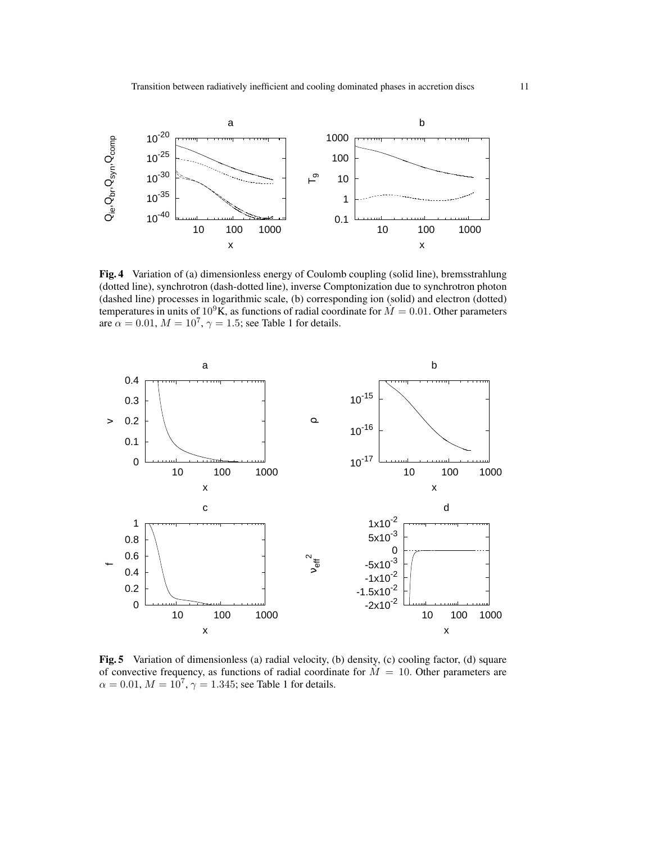

**Fig. 4** Variation of (a) dimensionless energy of Coulomb coupling (solid line), bremsstrahlung (dotted line), synchrotron (dash-dotted line), inverse Comptonization due to synchrotron photon (dashed line) processes in logarithmic scale, (b) corresponding ion (solid) and electron (dotted) temperatures in units of 10<sup>9</sup>K, as functions of radial coordinate for  $\dot{M} = 0.01$ . Other parameters are  $\alpha = 0.01$ ,  $M = 10^7$ ,  $\gamma = 1.5$ ; see Table 1 for details.



**Fig. 5** Variation of dimensionless (a) radial velocity, (b) density, (c) cooling factor, (d) square of convective frequency, as functions of radial coordinate for  $\dot{M} = 10$ . Other parameters are  $\alpha = 0.01, M = 10^7, \gamma = 1.345$ ; see Table 1 for details.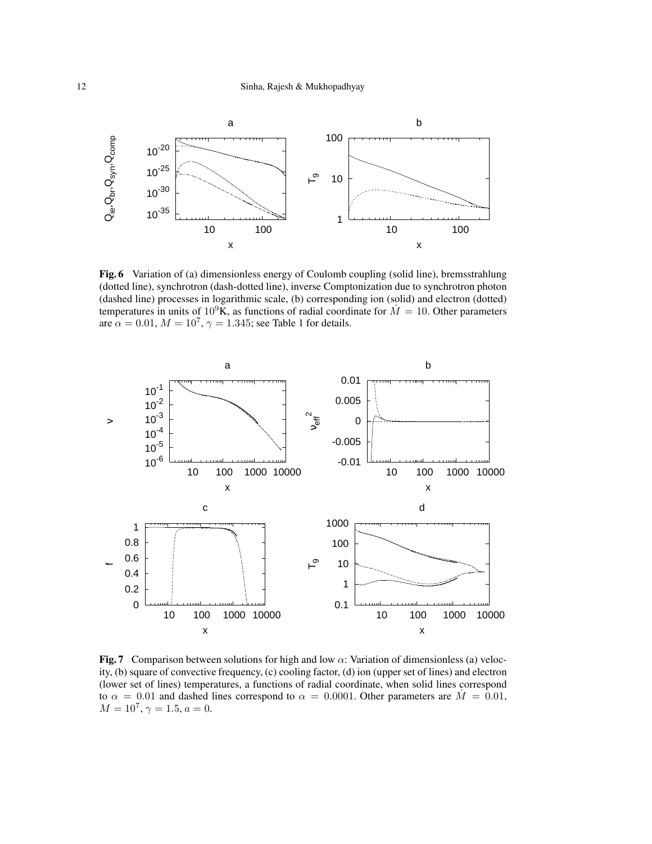

**Fig. 6** Variation of (a) dimensionless energy of Coulomb coupling (solid line), bremsstrahlung (dotted line), synchrotron (dash-dotted line), inverse Comptonization due to synchrotron photon (dashed line) processes in logarithmic scale, (b) corresponding ion (solid) and electron (dotted) temperatures in units of 10<sup>9</sup>K, as functions of radial coordinate for  $\dot{M} = 10$ . Other parameters are  $\alpha = 0.01$ ,  $M = 10^7$ ,  $\gamma = 1.345$ ; see Table 1 for details.



**Fig. 7** Comparison between solutions for high and low α: Variation of dimensionless (a) velocity, (b) square of convective frequency, (c) cooling factor, (d) ion (upper set of lines) and electron (lower set of lines) temperatures, a functions of radial coordinate, when solid lines correspond to  $\alpha = 0.01$  and dashed lines correspond to  $\alpha = 0.0001$ . Other parameters are  $\dot{M} = 0.01$ ,  $M = 10^7$ ,  $\gamma = 1.5$ ,  $a = 0$ .